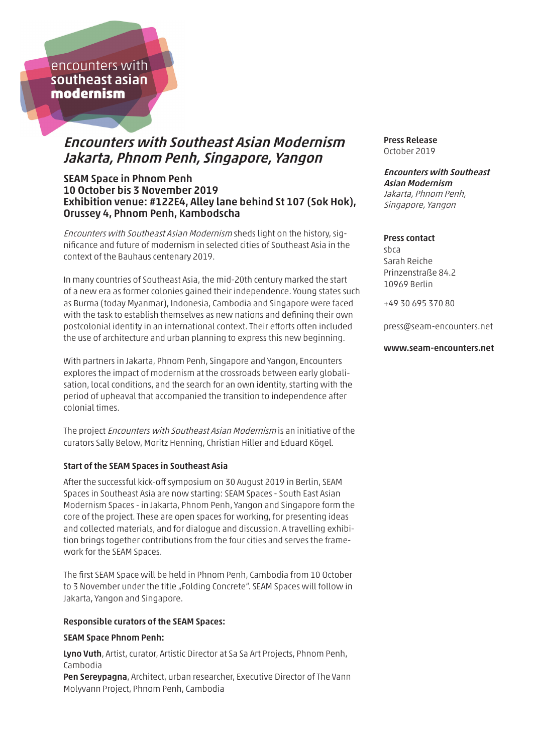encounters with southeast asian modernism

# Encounters with Southeast Asian Modernism Jakarta, Phnom Penh, Singapore, Yangon

# SEAM Space in Phnom Penh 10 October bis 3 November 2019 Exhibition venue: #122E4, Alley lane behind St 107 (Sok Hok), Orussey 4, Phnom Penh, Kambodscha

Encounters with Southeast Asian Modernism sheds light on the history, significance and future of modernism in selected cities of Southeast Asia in the context of the Bauhaus centenary 2019.

In many countries of Southeast Asia, the mid-20th century marked the start of a new era as former colonies gained their independence. Young states such as Burma (today Myanmar), Indonesia, Cambodia and Singapore were faced with the task to establish themselves as new nations and defining their own postcolonial identity in an international context. Their efforts often included the use of architecture and urban planning to express this new beginning.

With partners in Jakarta, Phnom Penh, Singapore and Yangon, Encounters explores the impact of modernism at the crossroads between early globalisation, local conditions, and the search for an own identity, starting with the period of upheaval that accompanied the transition to independence after colonial times.

The project Encounters with Southeast Asian Modernism is an initiative of the curators Sally Below, Moritz Henning, Christian Hiller and Eduard Kögel.

### Start of the SEAM Spaces in Southeast Asia

After the successful kick-off symposium on 30 August 2019 in Berlin, SEAM Spaces in Southeast Asia are now starting: SEAM Spaces - South East Asian Modernism Spaces - in Jakarta, Phnom Penh, Yangon and Singapore form the core of the project. These are open spaces for working, for presenting ideas and collected materials, and for dialogue and discussion. A travelling exhibition brings together contributions from the four cities and serves the framework for the SEAM Spaces.

The first SEAM Space will be held in Phnom Penh, Cambodia from 10 October to 3 November under the title "Folding Concrete". SEAM Spaces will follow in Jakarta, Yangon and Singapore.

### Responsible curators of the SEAM Spaces:

#### SEAM Space Phnom Penh:

Lyno Vuth, Artist, curator, Artistic Director at Sa Sa Art Projects, Phnom Penh, Cambodia Pen Sereypagna, Architect, urban researcher, Executive Director of The Vann Molyvann Project, Phnom Penh, Cambodia

Press Release October 2019

#### Encounters with Southeast Asian Modernism Jakarta, Phnom Penh, Singapore, Yangon

#### Press contact

sbca Sarah Reiche Prinzenstraße 84.2 10969 Berlin

+49 30 695 370 80

press@seam-encounters.net

#### www.seam-encounters.net